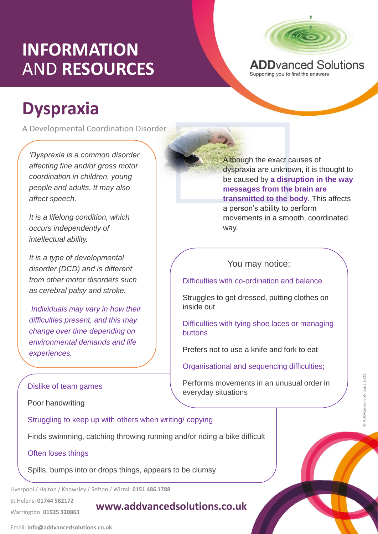# **INFORMATION** AND **RESOURCES**



A Developmental Coordination Disorder

*'Dyspraxia is a common disorder affecting fine and/or gross motor coordination in children, young people and adults. It may also affect speech.* 

*It is a lifelong condition, which occurs independently of intellectual ability.*

*It is a type of developmental disorder (DCD) and is different from other motor disorders such as cerebral palsy and stroke.*

*Individuals may vary in how their difficulties present, and this may change over time depending on environmental demands and life experiences.*



**ADD**vanced Solutions Supporting you to find the answers

Although the exact causes of dyspraxia are unknown, it is thought to be caused by **a disruption in the way messages from the brain are transmitted to the body**. This affects a person's ability to perform movements in a smooth, coordinated way.

### You may notice:

Difficulties with co-ordination and balance

Struggles to get dressed, putting clothes on inside out

Difficulties with tying shoe laces or managing buttons

Prefers not to use a knife and fork to eat

Organisational and sequencing difficulties;

Performs movements in an unusual order in everyday situations

#### Dislike of team games

Poor handwriting

writing/copying Struggling to keep up with others when writing/ copying

Finds swimming, catching throwing running and/or riding a bike difficult

#### Often loses things

Spills, bumps into or drops things, appears to be clumsy

Liverpool / Halton / Knowsley / Sefton / Wirral: **0151 486 1788**

St Helens: **01744 582172** 

Warrington: **01925 320863**

### **www.addvancedsolutions.co.uk**

© ADDvanced Solutions 2021.

5 ADDvanced Solutions 2021